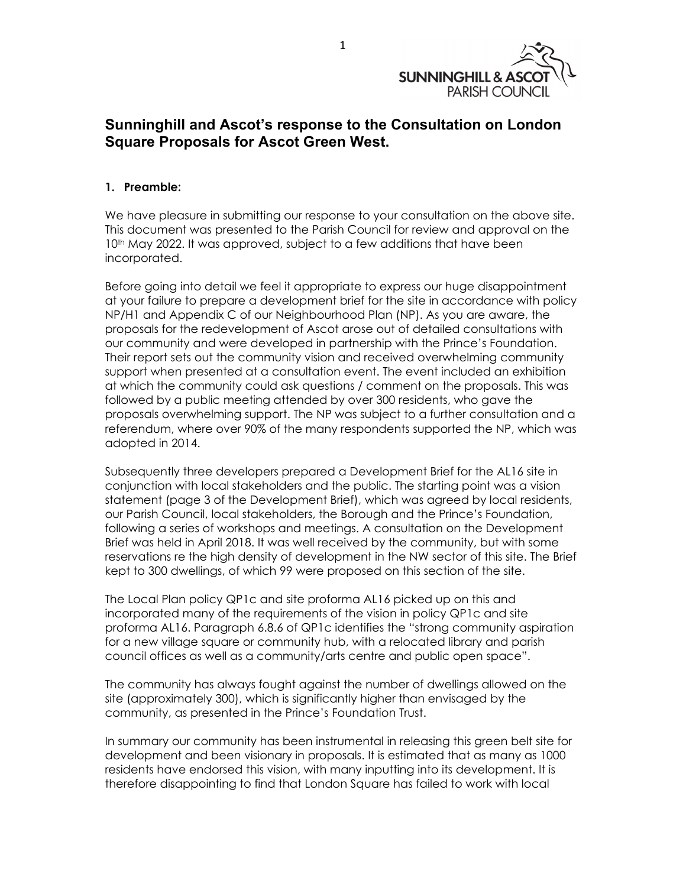

# **Sunninghill and Ascot's response to the Consultation on London Square Proposals for Ascot Green West.**

#### **1. Preamble:**

We have pleasure in submitting our response to your consultation on the above site. This document was presented to the Parish Council for review and approval on the 10<sup>th</sup> May 2022. It was approved, subject to a few additions that have been incorporated.

Before going into detail we feel it appropriate to express our huge disappointment at your failure to prepare a development brief for the site in accordance with policy NP/H1 and Appendix C of our Neighbourhood Plan (NP). As you are aware, the proposals for the redevelopment of Ascot arose out of detailed consultations with our community and were developed in partnership with the Prince's Foundation. Their report sets out the community vision and received overwhelming community support when presented at a consultation event. The event included an exhibition at which the community could ask questions / comment on the proposals. This was followed by a public meeting attended by over 300 residents, who gave the proposals overwhelming support. The NP was subject to a further consultation and a referendum, where over 90% of the many respondents supported the NP, which was adopted in 2014.

Subsequently three developers prepared a Development Brief for the AL16 site in conjunction with local stakeholders and the public. The starting point was a vision statement (page 3 of the Development Brief), which was agreed by local residents, our Parish Council, local stakeholders, the Borough and the Prince's Foundation, following a series of workshops and meetings. A consultation on the Development Brief was held in April 2018. It was well received by the community, but with some reservations re the high density of development in the NW sector of this site. The Brief kept to 300 dwellings, of which 99 were proposed on this section of the site.

The Local Plan policy QP1c and site proforma AL16 picked up on this and incorporated many of the requirements of the vision in policy QP1c and site proforma AL16. Paragraph 6.8.6 of QP1c identifies the "strong community aspiration for a new village square or community hub, with a relocated library and parish council offices as well as a community/arts centre and public open space".

The community has always fought against the number of dwellings allowed on the site (approximately 300), which is significantly higher than envisaged by the community, as presented in the Prince's Foundation Trust.

In summary our community has been instrumental in releasing this green belt site for development and been visionary in proposals. It is estimated that as many as 1000 residents have endorsed this vision, with many inputting into its development. It is therefore disappointing to find that London Square has failed to work with local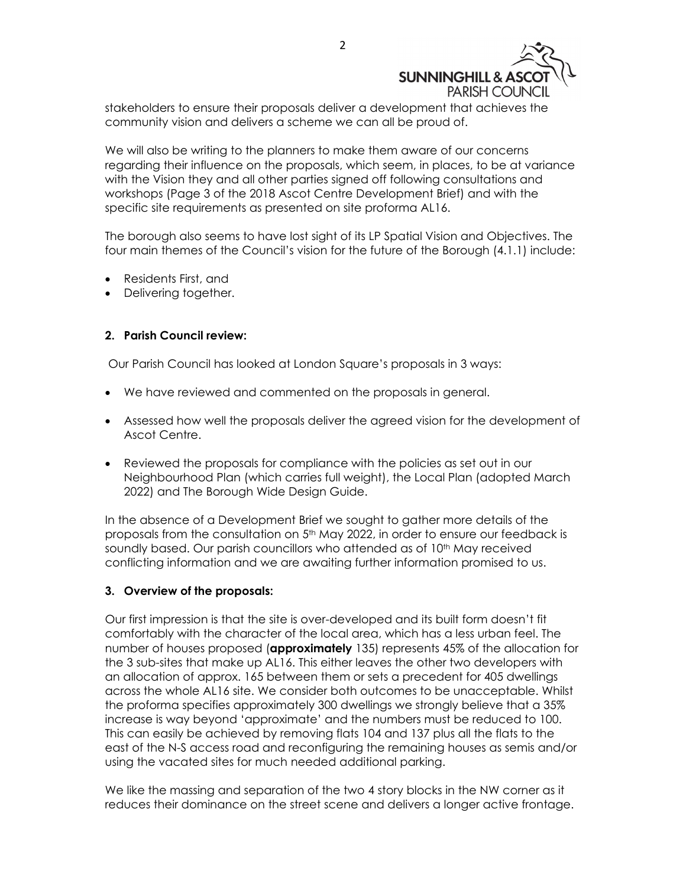

stakeholders to ensure their proposals deliver a development that achieves the community vision and delivers a scheme we can all be proud of.

We will also be writing to the planners to make them aware of our concerns regarding their influence on the proposals, which seem, in places, to be at variance with the Vision they and all other parties signed off following consultations and workshops (Page 3 of the 2018 Ascot Centre Development Brief) and with the specific site requirements as presented on site proforma AL16.

The borough also seems to have lost sight of its LP Spatial Vision and Objectives. The four main themes of the Council's vision for the future of the Borough (4.1.1) include:

- Residents First, and
- Delivering together.

#### **2. Parish Council review:**

Our Parish Council has looked at London Square's proposals in 3 ways:

- We have reviewed and commented on the proposals in general.
- Assessed how well the proposals deliver the agreed vision for the development of Ascot Centre.
- Reviewed the proposals for compliance with the policies as set out in our Neighbourhood Plan (which carries full weight), the Local Plan (adopted March 2022) and The Borough Wide Design Guide.

In the absence of a Development Brief we sought to gather more details of the proposals from the consultation on 5<sup>th</sup> May 2022, in order to ensure our feedback is soundly based. Our parish councillors who attended as of 10<sup>th</sup> May received conflicting information and we are awaiting further information promised to us.

## **3. Overview of the proposals:**

Our first impression is that the site is over-developed and its built form doesn't fit comfortably with the character of the local area, which has a less urban feel. The number of houses proposed (**approximately** 135) represents 45% of the allocation for the 3 sub-sites that make up AL16. This either leaves the other two developers with an allocation of approx. 165 between them or sets a precedent for 405 dwellings across the whole AL16 site. We consider both outcomes to be unacceptable. Whilst the proforma specifies approximately 300 dwellings we strongly believe that a 35% increase is way beyond 'approximate' and the numbers must be reduced to 100. This can easily be achieved by removing flats 104 and 137 plus all the flats to the east of the N-S access road and reconfiguring the remaining houses as semis and/or using the vacated sites for much needed additional parking.

We like the massing and separation of the two 4 story blocks in the NW corner as it reduces their dominance on the street scene and delivers a longer active frontage.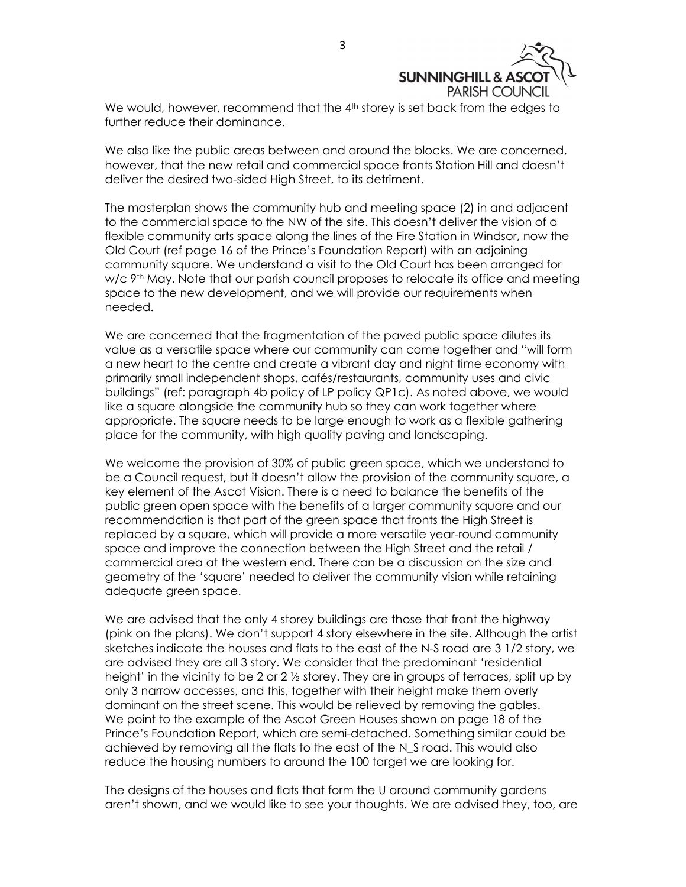

We would, however, recommend that the 4<sup>th</sup> storey is set back from the edges to further reduce their dominance.

We also like the public areas between and around the blocks. We are concerned, however, that the new retail and commercial space fronts Station Hill and doesn't deliver the desired two-sided High Street, to its detriment.

The masterplan shows the community hub and meeting space (2) in and adjacent to the commercial space to the NW of the site. This doesn't deliver the vision of a flexible community arts space along the lines of the Fire Station in Windsor, now the Old Court (ref page 16 of the Prince's Foundation Report) with an adjoining community square. We understand a visit to the Old Court has been arranged for w/c 9<sup>th</sup> May. Note that our parish council proposes to relocate its office and meeting space to the new development, and we will provide our requirements when needed.

We are concerned that the fragmentation of the paved public space dilutes its value as a versatile space where our community can come together and "will form a new heart to the centre and create a vibrant day and night time economy with primarily small independent shops, cafés/restaurants, community uses and civic buildings" (ref: paragraph 4b policy of LP policy QP1c). As noted above, we would like a square alongside the community hub so they can work together where appropriate. The square needs to be large enough to work as a flexible gathering place for the community, with high quality paving and landscaping.

We welcome the provision of 30% of public green space, which we understand to be a Council request, but it doesn't allow the provision of the community square, a key element of the Ascot Vision. There is a need to balance the benefits of the public green open space with the benefits of a larger community square and our recommendation is that part of the green space that fronts the High Street is replaced by a square, which will provide a more versatile year-round community space and improve the connection between the High Street and the retail / commercial area at the western end. There can be a discussion on the size and geometry of the 'square' needed to deliver the community vision while retaining adequate green space.

We are advised that the only 4 storey buildings are those that front the highway (pink on the plans). We don't support 4 story elsewhere in the site. Although the artist sketches indicate the houses and flats to the east of the N-S road are 3 1/2 story, we are advised they are all 3 story. We consider that the predominant 'residential height' in the vicinity to be 2 or 2 ½ storey. They are in groups of terraces, split up by only 3 narrow accesses, and this, together with their height make them overly dominant on the street scene. This would be relieved by removing the gables. We point to the example of the Ascot Green Houses shown on page 18 of the Prince's Foundation Report, which are semi-detached. Something similar could be achieved by removing all the flats to the east of the N\_S road. This would also reduce the housing numbers to around the 100 target we are looking for.

The designs of the houses and flats that form the U around community gardens aren't shown, and we would like to see your thoughts. We are advised they, too, are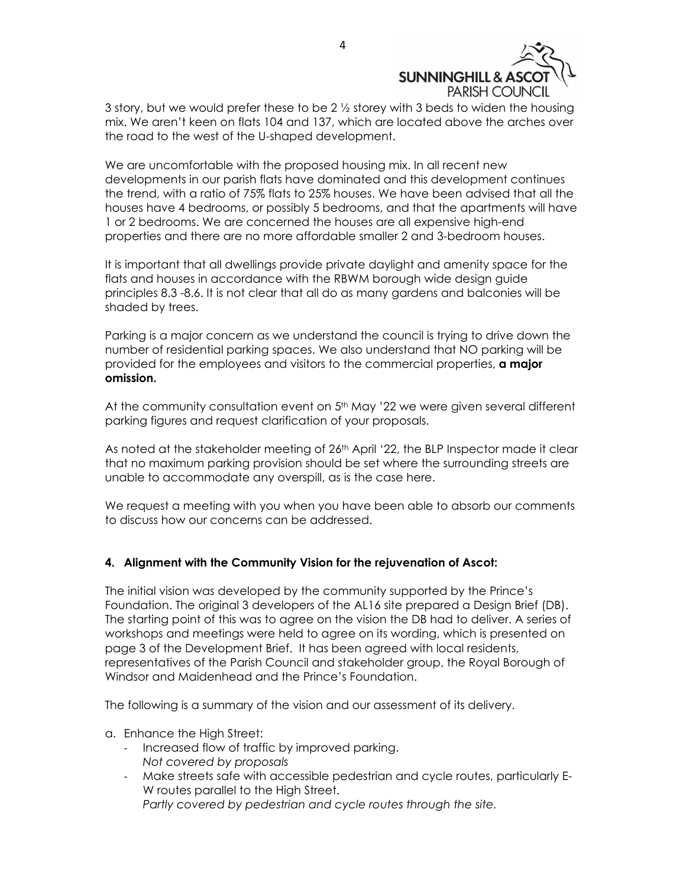

3 story, but we would prefer these to be  $2\frac{1}{2}$  storey with 3 beds to widen the housing mix. We aren't keen on flats 104 and 137, which are located above the arches over the road to the west of the U-shaped development.

We are uncomfortable with the proposed housing mix. In all recent new developments in our parish flats have dominated and this development continues the trend, with a ratio of 75% flats to 25% houses. We have been advised that all the houses have 4 bedrooms, or possibly 5 bedrooms, and that the apartments will have 1 or 2 bedrooms. We are concerned the houses are all expensive high-end properties and there are no more affordable smaller 2 and 3-bedroom houses.

It is important that all dwellings provide private daylight and amenity space for the flats and houses in accordance with the RBWM borough wide design guide principles 8.3 -8.6. It is not clear that all do as many gardens and balconies will be shaded by trees.

Parking is a major concern as we understand the council is trying to drive down the number of residential parking spaces. We also understand that NO parking will be provided for the employees and visitors to the commercial properties, **a major omission.** 

At the community consultation event on 5<sup>th</sup> May '22 we were given several different parking figures and request clarification of your proposals.

As noted at the stakeholder meeting of 26th April '22, the BLP Inspector made it clear that no maximum parking provision should be set where the surrounding streets are unable to accommodate any overspill, as is the case here.

We request a meeting with you when you have been able to absorb our comments to discuss how our concerns can be addressed.

#### **4. Alignment with the Community Vision for the rejuvenation of Ascot:**

The initial vision was developed by the community supported by the Prince's Foundation. The original 3 developers of the AL16 site prepared a Design Brief (DB). The starting point of this was to agree on the vision the DB had to deliver. A series of workshops and meetings were held to agree on its wording, which is presented on page 3 of the Development Brief. It has been agreed with local residents, representatives of the Parish Council and stakeholder group, the Royal Borough of Windsor and Maidenhead and the Prince's Foundation.

The following is a summary of the vision and our assessment of its delivery.

- a. Enhance the High Street:
	- ‐ Increased flow of traffic by improved parking. *Not covered by proposals*
	- ‐ Make streets safe with accessible pedestrian and cycle routes, particularly E-W routes parallel to the High Street.

*Partly covered by pedestrian and cycle routes through the site.*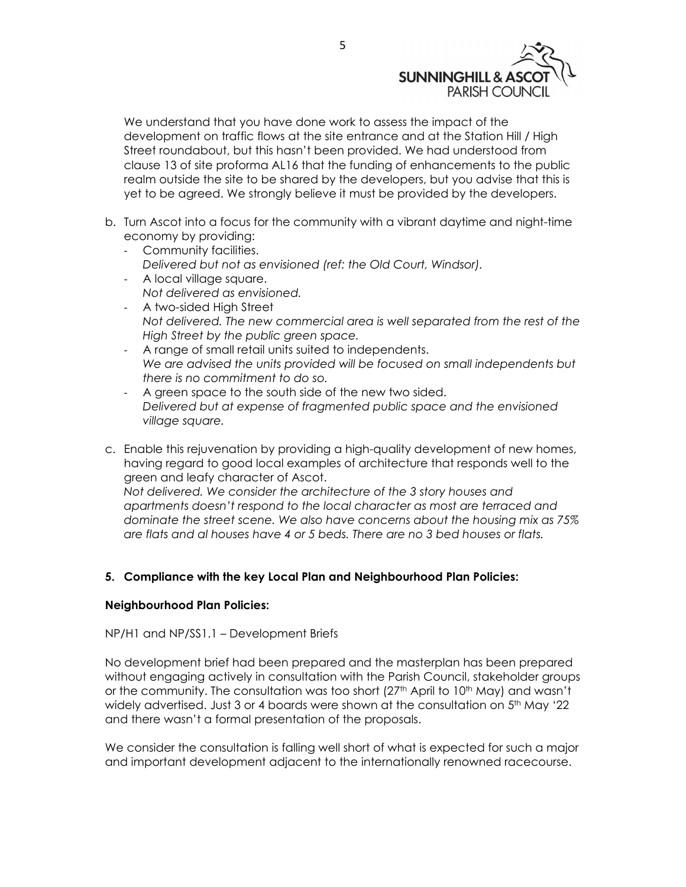

We understand that you have done work to assess the impact of the development on traffic flows at the site entrance and at the Station Hill / High Street roundabout, but this hasn't been provided. We had understood from clause 13 of site proforma AL16 that the funding of enhancements to the public realm outside the site to be shared by the developers, but you advise that this is yet to be agreed. We strongly believe it must be provided by the developers.

- b. Turn Ascot into a focus for the community with a vibrant daytime and night-time economy by providing:
	- ‐ Community facilities. *Delivered but not as envisioned (ref: the Old Court, Windsor).*
	- ‐ A local village square. *Not delivered as envisioned.*
	- ‐ A two-sided High Street *Not delivered. The new commercial area is well separated from the rest of the High Street by the public green space.*
	- ‐ A range of small retail units suited to independents. *We are advised the units provided will be focused on small independents but there is no commitment to do so.*
	- A green space to the south side of the new two sided. *Delivered but at expense of fragmented public space and the envisioned village square.*
- c. Enable this rejuvenation by providing a high-quality development of new homes, having regard to good local examples of architecture that responds well to the green and leafy character of Ascot. *Not delivered. We consider the architecture of the 3 story houses and apartments doesn't respond to the local character as most are terraced and dominate the street scene. We also have concerns about the housing mix as 75% are flats and al houses have 4 or 5 beds. There are no 3 bed houses or flats.*

## **5. Compliance with the key Local Plan and Neighbourhood Plan Policies:**

## **Neighbourhood Plan Policies:**

## NP/H1 and NP/SS1.1 – Development Briefs

No development brief had been prepared and the masterplan has been prepared without engaging actively in consultation with the Parish Council, stakeholder groups or the community. The consultation was too short (27<sup>th</sup> April to 10<sup>th</sup> May) and wasn't widely advertised. Just 3 or 4 boards were shown at the consultation on 5<sup>th</sup> May '22 and there wasn't a formal presentation of the proposals.

We consider the consultation is falling well short of what is expected for such a major and important development adjacent to the internationally renowned racecourse.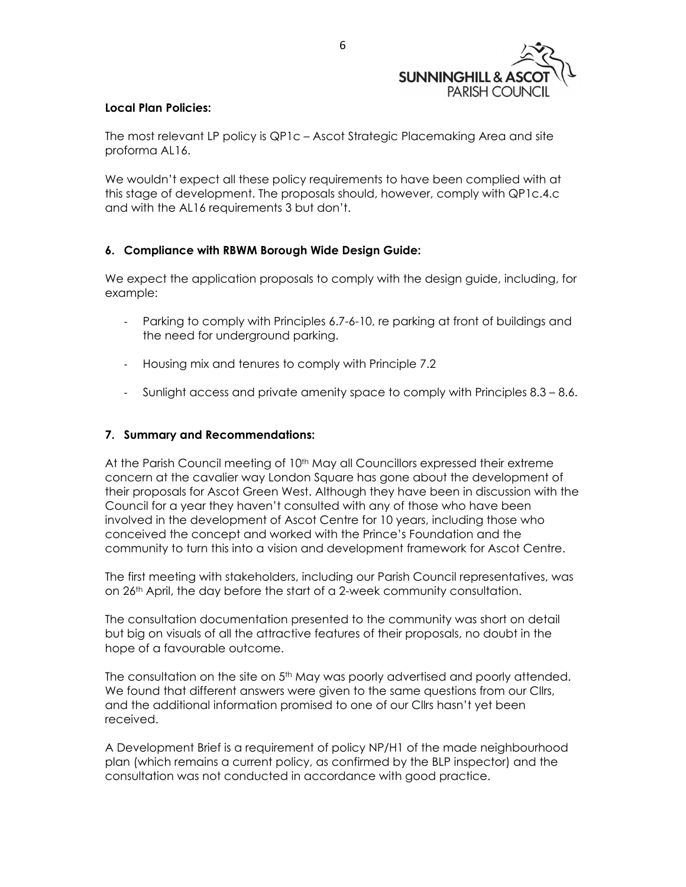

#### **Local Plan Policies:**

The most relevant LP policy is QP1c – Ascot Strategic Placemaking Area and site proforma AL16.

We wouldn't expect all these policy requirements to have been complied with at this stage of development. The proposals should, however, comply with QP1c.4.c and with the AL16 requirements 3 but don't.

## **6. Compliance with RBWM Borough Wide Design Guide:**

We expect the application proposals to comply with the design guide, including, for example:

- Parking to comply with Principles 6.7-6-10, re parking at front of buildings and the need for underground parking.
- ‐ Housing mix and tenures to comply with Principle 7.2
- ‐ Sunlight access and private amenity space to comply with Principles 8.3 8.6.

#### **7. Summary and Recommendations:**

At the Parish Council meeting of 10<sup>th</sup> May all Councillors expressed their extreme concern at the cavalier way London Square has gone about the development of their proposals for Ascot Green West. Although they have been in discussion with the Council for a year they haven't consulted with any of those who have been involved in the development of Ascot Centre for 10 years, including those who conceived the concept and worked with the Prince's Foundation and the community to turn this into a vision and development framework for Ascot Centre.

The first meeting with stakeholders, including our Parish Council representatives, was on 26<sup>th</sup> April, the day before the start of a 2-week community consultation.

The consultation documentation presented to the community was short on detail but big on visuals of all the attractive features of their proposals, no doubt in the hope of a favourable outcome.

The consultation on the site on  $5<sup>th</sup>$  May was poorly advertised and poorly attended. We found that different answers were given to the same questions from our Cllrs, and the additional information promised to one of our Cllrs hasn't yet been received.

A Development Brief is a requirement of policy NP/H1 of the made neighbourhood plan (which remains a current policy, as confirmed by the BLP inspector) and the consultation was not conducted in accordance with good practice.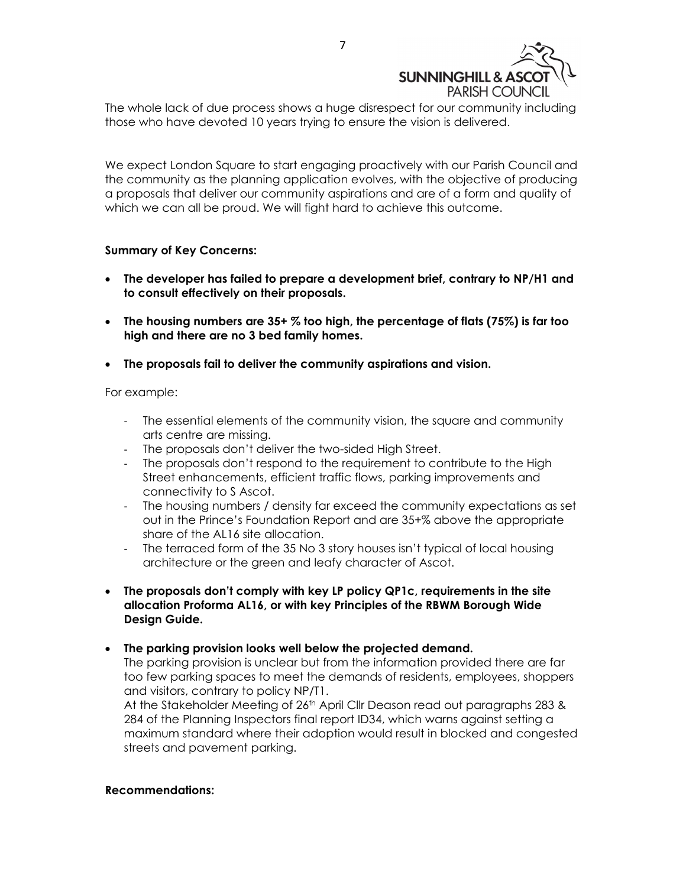

The whole lack of due process shows a huge disrespect for our community including those who have devoted 10 years trying to ensure the vision is delivered.

We expect London Square to start engaging proactively with our Parish Council and the community as the planning application evolves, with the objective of producing a proposals that deliver our community aspirations and are of a form and quality of which we can all be proud. We will fight hard to achieve this outcome.

#### **Summary of Key Concerns:**

- **The developer has failed to prepare a development brief, contrary to NP/H1 and to consult effectively on their proposals.**
- **The housing numbers are 35+ % too high, the percentage of flats (75%) is far too high and there are no 3 bed family homes.**
- **The proposals fail to deliver the community aspirations and vision.**

For example:

- ‐ The essential elements of the community vision, the square and community arts centre are missing.
- ‐ The proposals don't deliver the two-sided High Street.
- ‐ The proposals don't respond to the requirement to contribute to the High Street enhancements, efficient traffic flows, parking improvements and connectivity to S Ascot.
- ‐ The housing numbers / density far exceed the community expectations as set out in the Prince's Foundation Report and are 35+% above the appropriate share of the AL16 site allocation.
- The terraced form of the 35 No 3 story houses isn't typical of local housing architecture or the green and leafy character of Ascot.
- **The proposals don't comply with key LP policy QP1c, requirements in the site allocation Proforma AL16, or with key Principles of the RBWM Borough Wide Design Guide.**

#### **The parking provision looks well below the projected demand.**

The parking provision is unclear but from the information provided there are far too few parking spaces to meet the demands of residents, employees, shoppers and visitors, contrary to policy NP/T1.

At the Stakeholder Meeting of 26th April Cllr Deason read out paragraphs 283 & 284 of the Planning Inspectors final report ID34, which warns against setting a maximum standard where their adoption would result in blocked and congested streets and pavement parking.

#### **Recommendations:**